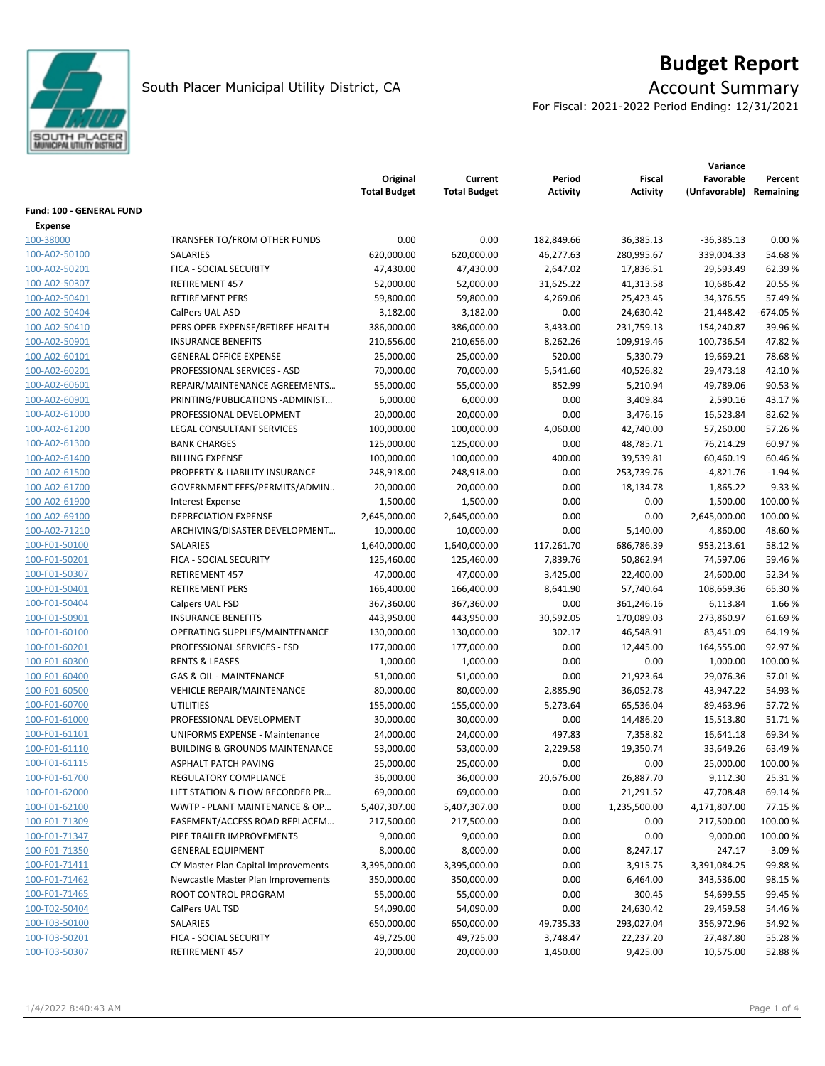

# **Budget Report**

For Fiscal: 2021-2022 Period Ending: 12/31/2021

|                          |                                           | Original<br><b>Total Budget</b> | Current<br><b>Total Budget</b> | Period<br>Activity | Fiscal<br><b>Activity</b> | Variance<br>Favorable<br>(Unfavorable) | Percent<br>Remaining |
|--------------------------|-------------------------------------------|---------------------------------|--------------------------------|--------------------|---------------------------|----------------------------------------|----------------------|
| Fund: 100 - GENERAL FUND |                                           |                                 |                                |                    |                           |                                        |                      |
| <b>Expense</b>           |                                           |                                 |                                |                    |                           |                                        |                      |
| 100-38000                | TRANSFER TO/FROM OTHER FUNDS              | 0.00                            | 0.00                           | 182,849.66         | 36,385.13                 | $-36,385.13$                           | 0.00%                |
| 100-A02-50100            | SALARIES                                  | 620,000.00                      | 620,000.00                     | 46,277.63          | 280,995.67                | 339,004.33                             | 54.68%               |
| 100-A02-50201            | FICA - SOCIAL SECURITY                    | 47,430.00                       | 47,430.00                      | 2,647.02           | 17,836.51                 | 29,593.49                              | 62.39%               |
| 100-A02-50307            | <b>RETIREMENT 457</b>                     | 52,000.00                       | 52,000.00                      | 31,625.22          | 41,313.58                 | 10,686.42                              | 20.55 %              |
| 100-A02-50401            | <b>RETIREMENT PERS</b>                    | 59,800.00                       | 59,800.00                      | 4,269.06           | 25,423.45                 | 34,376.55                              | 57.49%               |
| 100-A02-50404            | CalPers UAL ASD                           | 3,182.00                        | 3,182.00                       | 0.00               | 24,630.42                 | $-21,448.42$                           | $-674.05%$           |
| 100-A02-50410            | PERS OPEB EXPENSE/RETIREE HEALTH          | 386,000.00                      | 386,000.00                     | 3,433.00           | 231,759.13                | 154,240.87                             | 39.96 %              |
| 100-A02-50901            | <b>INSURANCE BENEFITS</b>                 | 210,656.00                      | 210,656.00                     | 8,262.26           | 109,919.46                | 100,736.54                             | 47.82%               |
| 100-A02-60101            | <b>GENERAL OFFICE EXPENSE</b>             | 25,000.00                       | 25,000.00                      | 520.00             | 5,330.79                  | 19,669.21                              | 78.68%               |
| 100-A02-60201            | PROFESSIONAL SERVICES - ASD               | 70,000.00                       | 70,000.00                      | 5,541.60           | 40,526.82                 | 29,473.18                              | 42.10%               |
| 100-A02-60601            | REPAIR/MAINTENANCE AGREEMENTS             | 55,000.00                       | 55,000.00                      | 852.99             | 5,210.94                  | 49,789.06                              | 90.53%               |
| 100-A02-60901            | PRINTING/PUBLICATIONS - ADMINIST          | 6,000.00                        | 6,000.00                       | 0.00               | 3,409.84                  | 2,590.16                               | 43.17%               |
| 100-A02-61000            | PROFESSIONAL DEVELOPMENT                  | 20,000.00                       | 20,000.00                      | 0.00               | 3,476.16                  | 16,523.84                              | 82.62%               |
| 100-A02-61200            | <b>LEGAL CONSULTANT SERVICES</b>          | 100,000.00                      | 100,000.00                     | 4,060.00           | 42,740.00                 | 57,260.00                              | 57.26%               |
| 100-A02-61300            | <b>BANK CHARGES</b>                       | 125,000.00                      | 125,000.00                     | 0.00               | 48,785.71                 | 76,214.29                              | 60.97%               |
| 100-A02-61400            | <b>BILLING EXPENSE</b>                    | 100,000.00                      | 100,000.00                     | 400.00             | 39,539.81                 | 60,460.19                              | 60.46%               |
| 100-A02-61500            | PROPERTY & LIABILITY INSURANCE            | 248,918.00                      | 248,918.00                     | 0.00               | 253,739.76                | $-4,821.76$                            | $-1.94%$             |
| 100-A02-61700            | GOVERNMENT FEES/PERMITS/ADMIN             | 20,000.00                       | 20,000.00                      | 0.00               | 18,134.78                 | 1,865.22                               | 9.33 %               |
| 100-A02-61900            | <b>Interest Expense</b>                   | 1,500.00                        | 1,500.00                       | 0.00               | 0.00                      | 1,500.00                               | 100.00 %             |
| 100-A02-69100            | <b>DEPRECIATION EXPENSE</b>               | 2,645,000.00                    | 2,645,000.00                   | 0.00               | 0.00                      | 2,645,000.00                           | 100.00%              |
| 100-A02-71210            | ARCHIVING/DISASTER DEVELOPMENT            | 10,000.00                       | 10,000.00                      | 0.00               | 5,140.00                  | 4,860.00                               | 48.60%               |
| 100-F01-50100            | SALARIES                                  | 1,640,000.00                    | 1,640,000.00                   | 117,261.70         | 686,786.39                | 953,213.61                             | 58.12%               |
| 100-F01-50201            | FICA - SOCIAL SECURITY                    | 125,460.00                      | 125,460.00                     | 7,839.76           | 50,862.94                 | 74,597.06                              | 59.46 %              |
| 100-F01-50307            | <b>RETIREMENT 457</b>                     | 47,000.00                       | 47,000.00                      | 3,425.00           | 22,400.00                 | 24,600.00                              | 52.34 %              |
| 100-F01-50401            | <b>RETIREMENT PERS</b>                    | 166,400.00                      | 166,400.00                     | 8,641.90           | 57,740.64                 | 108,659.36                             | 65.30%               |
| 100-F01-50404            | Calpers UAL FSD                           | 367,360.00                      | 367,360.00                     | 0.00               | 361,246.16                | 6,113.84                               | 1.66%                |
| 100-F01-50901            | <b>INSURANCE BENEFITS</b>                 | 443,950.00                      | 443,950.00                     | 30,592.05          | 170,089.03                | 273,860.97                             | 61.69%               |
| 100-F01-60100            | OPERATING SUPPLIES/MAINTENANCE            | 130,000.00                      | 130,000.00                     | 302.17             | 46,548.91                 | 83,451.09                              | 64.19%               |
| 100-F01-60201            | PROFESSIONAL SERVICES - FSD               | 177,000.00                      | 177,000.00                     | 0.00               | 12,445.00                 | 164,555.00                             | 92.97%               |
| 100-F01-60300            | <b>RENTS &amp; LEASES</b>                 | 1,000.00                        | 1,000.00                       | 0.00               | 0.00                      | 1,000.00                               | 100.00%              |
| 100-F01-60400            | <b>GAS &amp; OIL - MAINTENANCE</b>        | 51,000.00                       | 51,000.00                      | 0.00               | 21,923.64                 | 29,076.36                              | 57.01%               |
| 100-F01-60500            | VEHICLE REPAIR/MAINTENANCE                | 80,000.00                       | 80,000.00                      | 2,885.90           | 36,052.78                 | 43,947.22                              | 54.93%               |
| 100-F01-60700            | <b>UTILITIES</b>                          | 155,000.00                      | 155,000.00                     | 5,273.64           | 65,536.04                 | 89,463.96                              | 57.72 %              |
| 100-F01-61000            | PROFESSIONAL DEVELOPMENT                  | 30,000.00                       | 30,000.00                      | 0.00               | 14,486.20                 | 15,513.80                              | 51.71%               |
| 100-F01-61101            | UNIFORMS EXPENSE - Maintenance            | 24,000.00                       | 24,000.00                      | 497.83             | 7,358.82                  | 16,641.18                              | 69.34 %              |
| 100-F01-61110            | <b>BUILDING &amp; GROUNDS MAINTENANCE</b> | 53,000.00                       | 53,000.00                      | 2,229.58           | 19,350.74                 | 33,649.26                              | 63.49%               |
| 100-F01-61115            | ASPHALT PATCH PAVING                      | 25,000.00                       | 25,000.00                      | 0.00               | 0.00                      | 25,000.00                              | 100.00 %             |
| 100-F01-61700            | REGULATORY COMPLIANCE                     | 36,000.00                       | 36,000.00                      | 20,676.00          | 26,887.70                 | 9,112.30                               | 25.31%               |
| 100-F01-62000            | LIFT STATION & FLOW RECORDER PR           | 69,000.00                       | 69,000.00                      | 0.00               | 21,291.52                 | 47,708.48                              | 69.14 %              |
| 100-F01-62100            | WWTP - PLANT MAINTENANCE & OP             | 5,407,307.00                    | 5,407,307.00                   | 0.00               | 1,235,500.00              | 4,171,807.00                           | 77.15 %              |
| 100-F01-71309            | EASEMENT/ACCESS ROAD REPLACEM             | 217,500.00                      | 217,500.00                     | 0.00               | 0.00                      | 217,500.00                             | 100.00 %             |
| 100-F01-71347            | PIPE TRAILER IMPROVEMENTS                 | 9,000.00                        | 9,000.00                       | 0.00               | 0.00                      | 9,000.00                               | 100.00 %             |
| 100-F01-71350            | <b>GENERAL EQUIPMENT</b>                  | 8,000.00                        | 8,000.00                       | 0.00               | 8,247.17                  | $-247.17$                              | $-3.09%$             |
| 100-F01-71411            | CY Master Plan Capital Improvements       | 3,395,000.00                    | 3,395,000.00                   | 0.00               | 3,915.75                  | 3,391,084.25                           | 99.88%               |
| 100-F01-71462            | Newcastle Master Plan Improvements        | 350,000.00                      | 350,000.00                     | 0.00               | 6,464.00                  | 343,536.00                             | 98.15%               |
| 100-F01-71465            | ROOT CONTROL PROGRAM                      | 55,000.00                       | 55,000.00                      | 0.00               | 300.45                    | 54,699.55                              | 99.45 %              |
| 100-T02-50404            | CalPers UAL TSD                           | 54,090.00                       | 54,090.00                      | 0.00               | 24,630.42                 | 29,459.58                              | 54.46%               |
| 100-T03-50100            | SALARIES                                  | 650,000.00                      | 650,000.00                     | 49,735.33          | 293,027.04                | 356,972.96                             | 54.92%               |
| 100-T03-50201            | FICA - SOCIAL SECURITY                    | 49,725.00                       | 49,725.00                      | 3,748.47           | 22,237.20                 | 27,487.80                              | 55.28%               |
| 100-T03-50307            | RETIREMENT 457                            | 20,000.00                       | 20,000.00                      | 1,450.00           | 9,425.00                  | 10,575.00                              | 52.88%               |
|                          |                                           |                                 |                                |                    |                           |                                        |                      |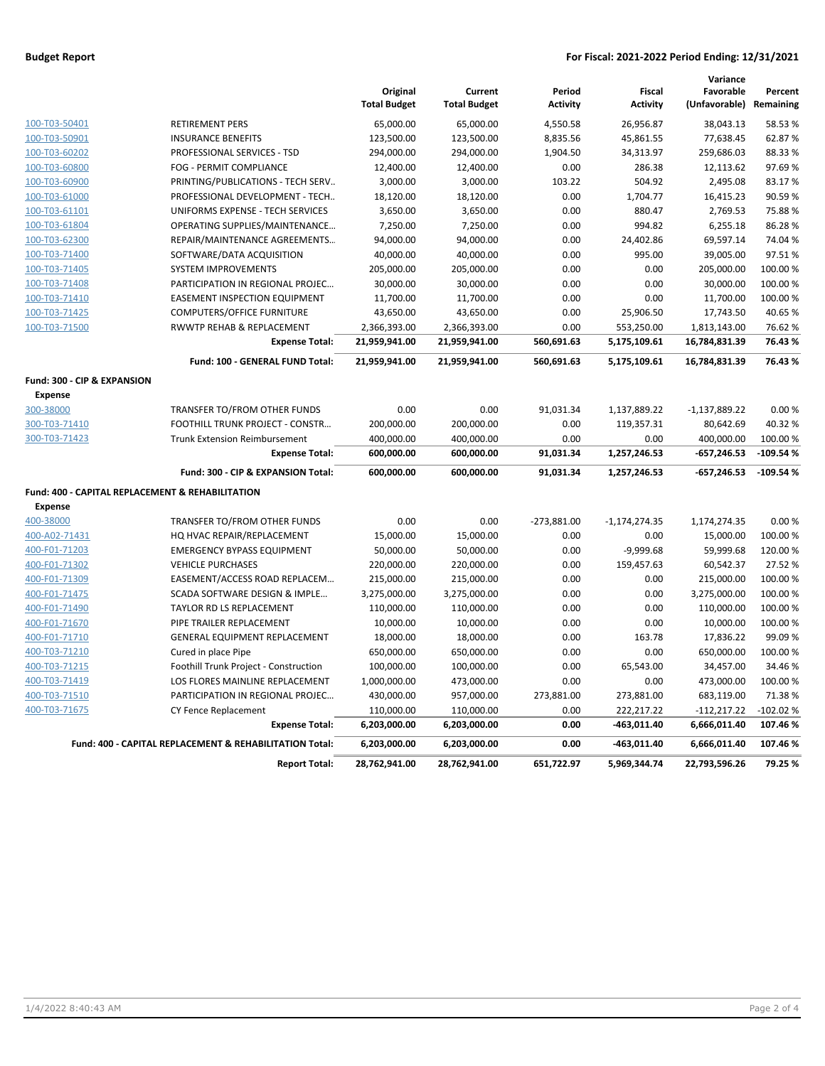### **Budget Report For Fiscal: 2021-2022 Period Ending: 12/31/2021**

|                                                  |                                                         | Original<br><b>Total Budget</b> | Current<br><b>Total Budget</b> | Period<br><b>Activity</b> | <b>Fiscal</b><br><b>Activity</b> | Variance<br>Favorable<br>(Unfavorable) | Percent<br>Remaining |
|--------------------------------------------------|---------------------------------------------------------|---------------------------------|--------------------------------|---------------------------|----------------------------------|----------------------------------------|----------------------|
| 100-T03-50401                                    | <b>RETIREMENT PERS</b>                                  | 65,000.00                       | 65,000.00                      | 4,550.58                  | 26,956.87                        | 38,043.13                              | 58.53%               |
| 100-T03-50901                                    | <b>INSURANCE BENEFITS</b>                               | 123,500.00                      | 123,500.00                     | 8,835.56                  | 45,861.55                        | 77,638.45                              | 62.87%               |
| 100-T03-60202                                    | PROFESSIONAL SERVICES - TSD                             | 294,000.00                      | 294,000.00                     | 1,904.50                  | 34,313.97                        | 259,686.03                             | 88.33%               |
| 100-T03-60800                                    | FOG - PERMIT COMPLIANCE                                 | 12,400.00                       | 12,400.00                      | 0.00                      | 286.38                           | 12,113.62                              | 97.69%               |
| 100-T03-60900                                    | PRINTING/PUBLICATIONS - TECH SERV                       | 3,000.00                        | 3,000.00                       | 103.22                    | 504.92                           | 2,495.08                               | 83.17%               |
| 100-T03-61000                                    | PROFESSIONAL DEVELOPMENT - TECH                         | 18,120.00                       | 18,120.00                      | 0.00                      | 1,704.77                         | 16,415.23                              | 90.59%               |
| 100-T03-61101                                    | UNIFORMS EXPENSE - TECH SERVICES                        | 3,650.00                        | 3,650.00                       | 0.00                      | 880.47                           | 2,769.53                               | 75.88%               |
| 100-T03-61804                                    | OPERATING SUPPLIES/MAINTENANCE                          | 7,250.00                        | 7,250.00                       | 0.00                      | 994.82                           | 6,255.18                               | 86.28%               |
| 100-T03-62300                                    | REPAIR/MAINTENANCE AGREEMENTS                           | 94,000.00                       | 94,000.00                      | 0.00                      | 24,402.86                        | 69,597.14                              | 74.04%               |
| 100-T03-71400                                    | SOFTWARE/DATA ACQUISITION                               | 40,000.00                       | 40,000.00                      | 0.00                      | 995.00                           | 39,005.00                              | 97.51%               |
| 100-T03-71405                                    | <b>SYSTEM IMPROVEMENTS</b>                              | 205,000.00                      | 205,000.00                     | 0.00                      | 0.00                             | 205,000.00                             | 100.00%              |
| 100-T03-71408                                    | PARTICIPATION IN REGIONAL PROJEC                        | 30,000.00                       | 30,000.00                      | 0.00                      | 0.00                             | 30,000.00                              | 100.00%              |
| 100-T03-71410                                    | <b>EASEMENT INSPECTION EQUIPMENT</b>                    | 11,700.00                       | 11,700.00                      | 0.00                      | 0.00                             | 11,700.00                              | 100.00 %             |
| 100-T03-71425                                    | <b>COMPUTERS/OFFICE FURNITURE</b>                       | 43,650.00                       | 43,650.00                      | 0.00                      | 25,906.50                        | 17,743.50                              | 40.65%               |
| 100-T03-71500                                    | RWWTP REHAB & REPLACEMENT                               | 2,366,393.00                    | 2,366,393.00                   | 0.00                      | 553,250.00                       | 1,813,143.00                           | 76.62%               |
|                                                  | <b>Expense Total:</b>                                   | 21,959,941.00                   | 21,959,941.00                  | 560,691.63                | 5,175,109.61                     | 16,784,831.39                          | 76.43%               |
|                                                  | Fund: 100 - GENERAL FUND Total:                         | 21,959,941.00                   | 21,959,941.00                  | 560,691.63                | 5,175,109.61                     | 16,784,831.39                          | 76.43%               |
| Fund: 300 - CIP & EXPANSION                      |                                                         |                                 |                                |                           |                                  |                                        |                      |
| <b>Expense</b>                                   |                                                         |                                 |                                |                           |                                  |                                        |                      |
| 300-38000                                        | TRANSFER TO/FROM OTHER FUNDS                            | 0.00                            | 0.00                           | 91,031.34                 | 1,137,889.22                     | $-1,137,889.22$                        | 0.00%                |
| 300-T03-71410                                    | FOOTHILL TRUNK PROJECT - CONSTR                         | 200,000.00                      | 200,000.00                     | 0.00                      | 119,357.31                       | 80,642.69                              | 40.32%               |
| 300-T03-71423                                    | <b>Trunk Extension Reimbursement</b>                    | 400,000.00                      | 400,000.00                     | 0.00                      | 0.00                             | 400,000.00                             | 100.00 %             |
|                                                  | <b>Expense Total:</b>                                   | 600,000.00                      | 600,000.00                     | 91,031.34                 | 1,257,246.53                     | $-657,246.53$                          | $-109.54%$           |
|                                                  | Fund: 300 - CIP & EXPANSION Total:                      | 600,000.00                      | 600,000.00                     | 91,031.34                 | 1,257,246.53                     | $-657,246.53$                          | $-109.54%$           |
| Fund: 400 - CAPITAL REPLACEMENT & REHABILITATION |                                                         |                                 |                                |                           |                                  |                                        |                      |
| <b>Expense</b>                                   |                                                         |                                 |                                |                           |                                  |                                        |                      |
| 400-38000                                        | TRANSFER TO/FROM OTHER FUNDS                            | 0.00                            | 0.00                           | $-273,881.00$             | $-1,174,274.35$                  | 1,174,274.35                           | 0.00%                |
| 400-A02-71431                                    | HQ HVAC REPAIR/REPLACEMENT                              | 15,000.00                       | 15,000.00                      | 0.00                      | 0.00                             | 15,000.00                              | 100.00 %             |
| 400-F01-71203                                    | <b>EMERGENCY BYPASS EQUIPMENT</b>                       | 50,000.00                       | 50,000.00                      | 0.00                      | $-9,999.68$                      | 59,999.68                              | 120.00%              |
| 400-F01-71302                                    | <b>VEHICLE PURCHASES</b>                                | 220,000.00                      | 220,000.00                     | 0.00                      | 159,457.63                       | 60,542.37                              | 27.52%               |
| 400-F01-71309                                    | EASEMENT/ACCESS ROAD REPLACEM                           | 215,000.00                      | 215,000.00                     | 0.00                      | 0.00                             | 215,000.00                             | 100.00 %             |
| 400-F01-71475                                    | SCADA SOFTWARE DESIGN & IMPLE                           | 3,275,000.00                    | 3,275,000.00                   | 0.00                      | 0.00                             | 3,275,000.00                           | 100.00 %             |
| 400-F01-71490                                    | TAYLOR RD LS REPLACEMENT                                | 110,000.00                      | 110,000.00                     | 0.00                      | 0.00                             | 110,000.00                             | 100.00 %             |
| 400-F01-71670                                    | PIPE TRAILER REPLACEMENT                                | 10,000.00                       | 10,000.00                      | 0.00                      | 0.00                             | 10,000.00                              | 100.00 %             |
| 400-F01-71710                                    | GENERAL EQUIPMENT REPLACEMENT                           | 18,000.00                       | 18,000.00                      | 0.00                      | 163.78                           | 17,836.22                              | 99.09%               |
| 400-T03-71210                                    | Cured in place Pipe                                     | 650,000.00                      | 650,000.00                     | 0.00                      | 0.00                             | 650,000.00                             | 100.00%              |
| 400-T03-71215                                    | Foothill Trunk Project - Construction                   | 100,000.00                      | 100,000.00                     | 0.00                      | 65,543.00                        | 34,457.00                              | 34.46%               |
| 400-T03-71419                                    | LOS FLORES MAINLINE REPLACEMENT                         | 1,000,000.00                    | 473,000.00                     | 0.00                      | 0.00                             | 473,000.00                             | 100.00 %             |
| 400-T03-71510                                    | PARTICIPATION IN REGIONAL PROJEC                        | 430,000.00                      | 957,000.00                     | 273,881.00                | 273,881.00                       | 683,119.00                             | 71.38%               |
| 400-T03-71675                                    | CY Fence Replacement                                    | 110,000.00                      | 110,000.00                     | 0.00                      | 222,217.22                       | $-112,217.22$                          | $-102.02%$           |
|                                                  | <b>Expense Total:</b>                                   | 6,203,000.00                    | 6,203,000.00                   | 0.00                      | $-463,011.40$                    | 6,666,011.40                           | 107.46%              |
|                                                  | Fund: 400 - CAPITAL REPLACEMENT & REHABILITATION Total: | 6,203,000.00                    | 6,203,000.00                   | 0.00                      | $-463,011.40$                    | 6,666,011.40                           | 107.46%              |
|                                                  | <b>Report Total:</b>                                    | 28,762,941.00                   | 28,762,941.00                  | 651,722.97                | 5,969,344.74                     | 22,793,596.26                          | 79.25 %              |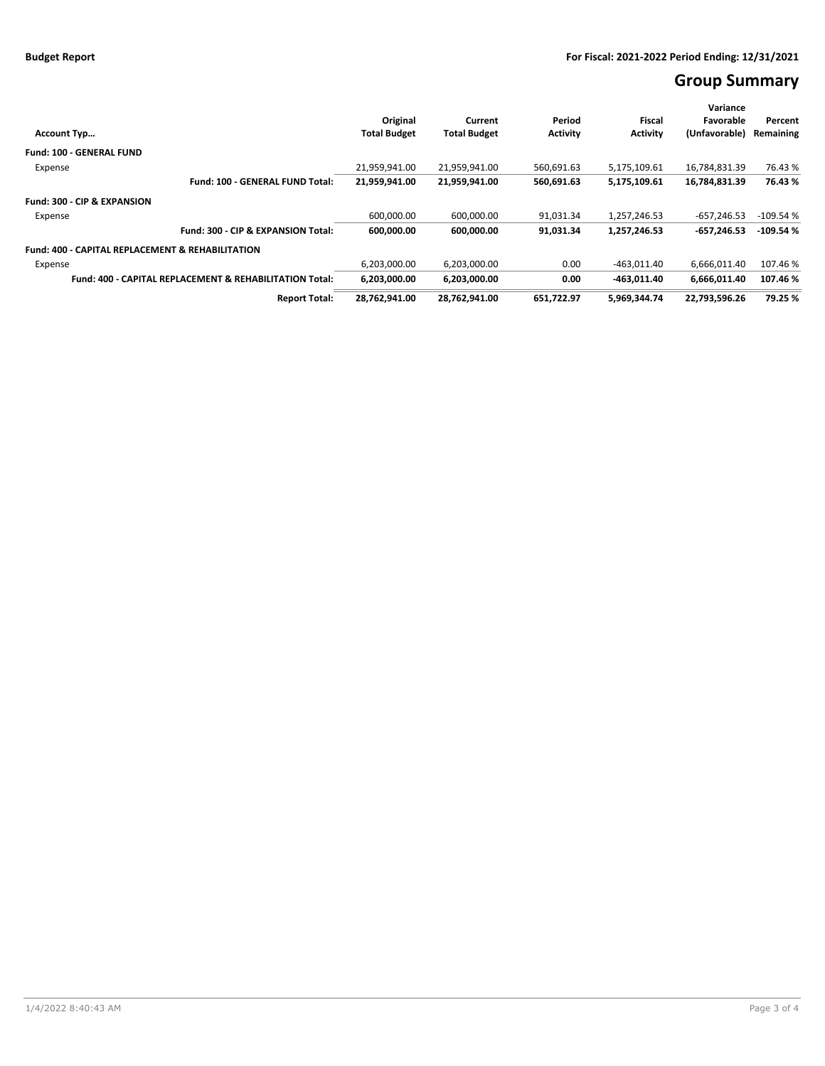# **Group Summary**

|                                                                    |                     |                     |                 |                 | Variance      |            |
|--------------------------------------------------------------------|---------------------|---------------------|-----------------|-----------------|---------------|------------|
|                                                                    | Original            | Current             | Period          | Fiscal          | Favorable     | Percent    |
| <b>Account Typ</b>                                                 | <b>Total Budget</b> | <b>Total Budget</b> | <b>Activity</b> | <b>Activity</b> | (Unfavorable) | Remaining  |
| <b>Fund: 100 - GENERAL FUND</b>                                    |                     |                     |                 |                 |               |            |
| Expense                                                            | 21.959.941.00       | 21,959,941.00       | 560,691.63      | 5,175,109.61    | 16,784,831.39 | 76.43%     |
| Fund: 100 - GENERAL FUND Total:                                    | 21,959,941.00       | 21,959,941.00       | 560,691.63      | 5,175,109.61    | 16,784,831.39 | 76.43%     |
| Fund: 300 - CIP & EXPANSION                                        |                     |                     |                 |                 |               |            |
| Expense                                                            | 600,000.00          | 600,000.00          | 91,031.34       | 1,257,246.53    | $-657,246.53$ | $-109.54%$ |
| Fund: 300 - CIP & EXPANSION Total:                                 | 600,000.00          | 600,000.00          | 91,031.34       | 1,257,246.53    | $-657.246.53$ | $-109.54%$ |
| <b>Fund: 400 - CAPITAL REPLACEMENT &amp; REHABILITATION</b>        |                     |                     |                 |                 |               |            |
| Expense                                                            | 6,203,000.00        | 6,203,000.00        | 0.00            | $-463,011.40$   | 6,666,011.40  | 107.46%    |
| <b>Fund: 400 - CAPITAL REPLACEMENT &amp; REHABILITATION Total:</b> | 6.203.000.00        | 6,203,000.00        | 0.00            | $-463.011.40$   | 6.666.011.40  | 107.46%    |
| <b>Report Total:</b>                                               | 28,762,941.00       | 28,762,941.00       | 651,722.97      | 5,969,344.74    | 22,793,596.26 | 79.25 %    |
|                                                                    |                     |                     |                 |                 |               |            |